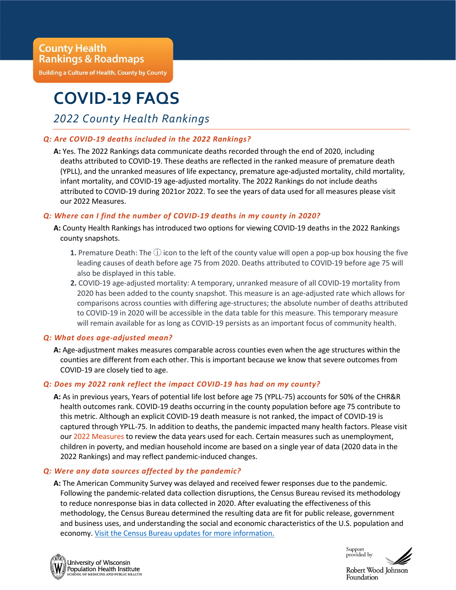**Building a Culture of Health, County by County** 

# **COVID-19 FAQS**

2022 County Health Rankings

## Q: Are COVID-19 deaths included in the 2022 Rankings?

A: Yes. The 2022 Rankings data communicate deaths recorded through the end of 2020, including deaths attributed to COVID-19. These deaths are reflected in the ranked measure of premature death (YPLL), and the unranked measures of life expectancy, premature age-adjusted mortality, child mortality, infant mortality, and COVID-19 age-adjusted mortality. The 2022 Rankings do not include deaths attributed to COVID-19 during 2021or 2022. To see the years of data used for all measures please visit our 2022 Measures.

## Q: Where can I find the number of COVID-19 deaths in my county in 2020?

A: County Health Rankings has introduced two options for viewing COVID-19 deaths in the 2022 Rankings county snapshots.

- **1.** Premature Death: The  $(i)$  icon to the left of the county value will open a pop-up box housing the five leading causes of death before age 75 from 2020. Deaths attributed to COVID-19 before age 75 will also be displayed in this table.
- 2. COVID-19 age-adjusted mortality: A temporary, unranked measure of all COVID-19 mortality from 2020 has been added to the county snapshot. This measure is an age-adjusted rate which allows for comparisons across counties with differing age-structures; the absolute number of deaths attributed to COVID-19 in 2020 will be accessible in the data table for this measure. This temporary measure will remain available for as long as COVID-19 persists as an important focus of community health.

### Q: What does age-adjusted mean?

A: Age-adjustment makes measures comparable across counties even when the age structures within the counties are different from each other. This is important because we know that severe outcomes from COVID-19 are closely tied to age.

### Q: Does my 2022 rank reflect the impact COVID-19 has had on my county?

A: As in previous years, Years of potential life lost before age 75 (YPLL-75) accounts for 50% of the CHR&R health outcomes rank. COVID-19 deaths occurring in the county population before age 75 contribute to this metric. Although an explicit COVID-19 death measure is not ranked, the impact of COVID-19 is captured through YPLL-75. In addition to deaths, the pandemic impacted many health factors. Please visit our 2022 Measures to review the data years used for each. Certain measures such as unemployment, children in poverty, and median household income are based on a single year of data (2020 data in the 2022 Rankings) and may reflect pandemic-induced changes.

## Q: Were any data sources affected by the pandemic?

A: The American Community Survey was delayed and received fewer responses due to the pandemic. Following the pandemic-related data collection disruptions, the Census Bureau revised its methodology to reduce nonresponse bias in data collected in 2020. After evaluating the effectiveness of this methodology, the Census Bureau determined the resulting data are fit for public release, government and business uses, and understanding the social and economic characteristics of the U.S. population and economy. Visit the Census Bureau updates for more information.



Support provided by

Robert Wood Johnson Foundation